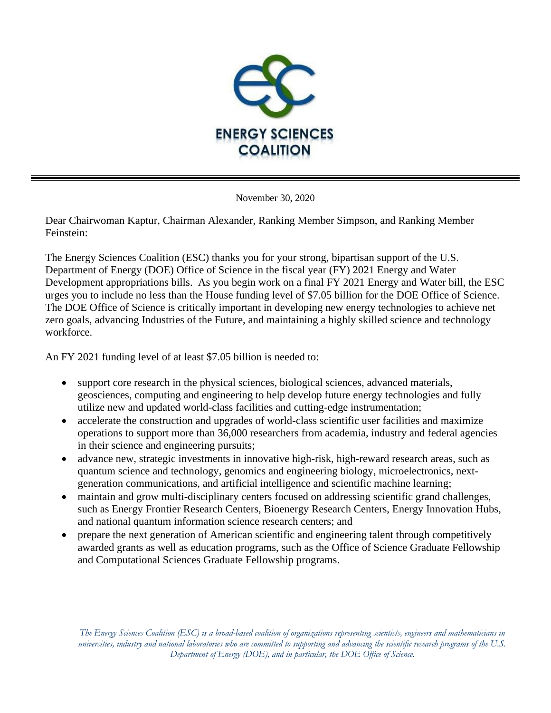

November 30, 2020

Dear Chairwoman Kaptur, Chairman Alexander, Ranking Member Simpson, and Ranking Member Feinstein:

The Energy Sciences Coalition (ESC) thanks you for your strong, bipartisan support of the U.S. Department of Energy (DOE) Office of Science in the fiscal year (FY) 2021 Energy and Water Development appropriations bills. As you begin work on a final FY 2021 Energy and Water bill, the ESC urges you to include no less than the House funding level of \$7.05 billion for the DOE Office of Science. The DOE Office of Science is critically important in developing new energy technologies to achieve net zero goals, advancing Industries of the Future, and maintaining a highly skilled science and technology workforce.

An FY 2021 funding level of at least \$7.05 billion is needed to:

- support core research in the physical sciences, biological sciences, advanced materials, geosciences, computing and engineering to help develop future energy technologies and fully utilize new and updated world-class facilities and cutting-edge instrumentation;
- accelerate the construction and upgrades of world-class scientific user facilities and maximize operations to support more than 36,000 researchers from academia, industry and federal agencies in their science and engineering pursuits;
- advance new, strategic investments in innovative high-risk, high-reward research areas, such as quantum science and technology, genomics and engineering biology, microelectronics, nextgeneration communications, and artificial intelligence and scientific machine learning;
- maintain and grow multi-disciplinary centers focused on addressing scientific grand challenges, such as Energy Frontier Research Centers, Bioenergy Research Centers, Energy Innovation Hubs, and national quantum information science research centers; and
- prepare the next generation of American scientific and engineering talent through competitively awarded grants as well as education programs, such as the Office of Science Graduate Fellowship and Computational Sciences Graduate Fellowship programs.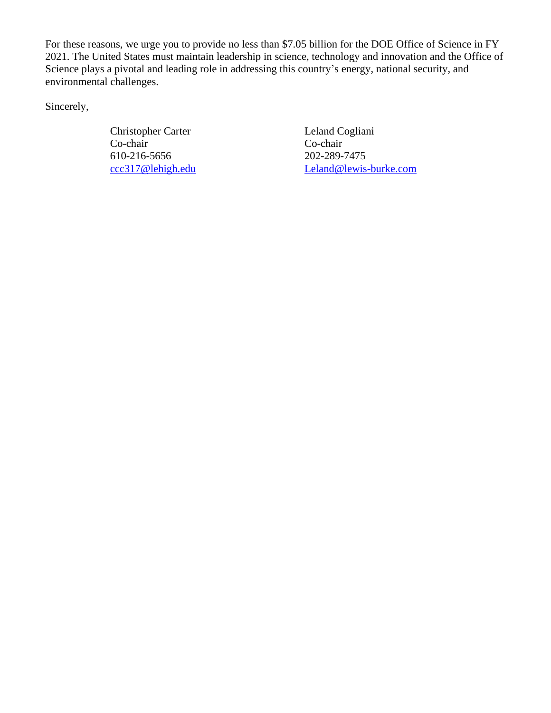For these reasons, we urge you to provide no less than \$7.05 billion for the DOE Office of Science in FY 2021. The United States must maintain leadership in science, technology and innovation and the Office of Science plays a pivotal and leading role in addressing this country's energy, national security, and environmental challenges.

Sincerely,

Christopher Carter Leland Cogliani Co-chair Co-chair 610-216-5656 202-289-7475

[ccc317@lehigh.edu](mailto:ccc317@lehigh.edu) [Leland@lewis-burke.com](mailto:Leland@lewis-burke.com)